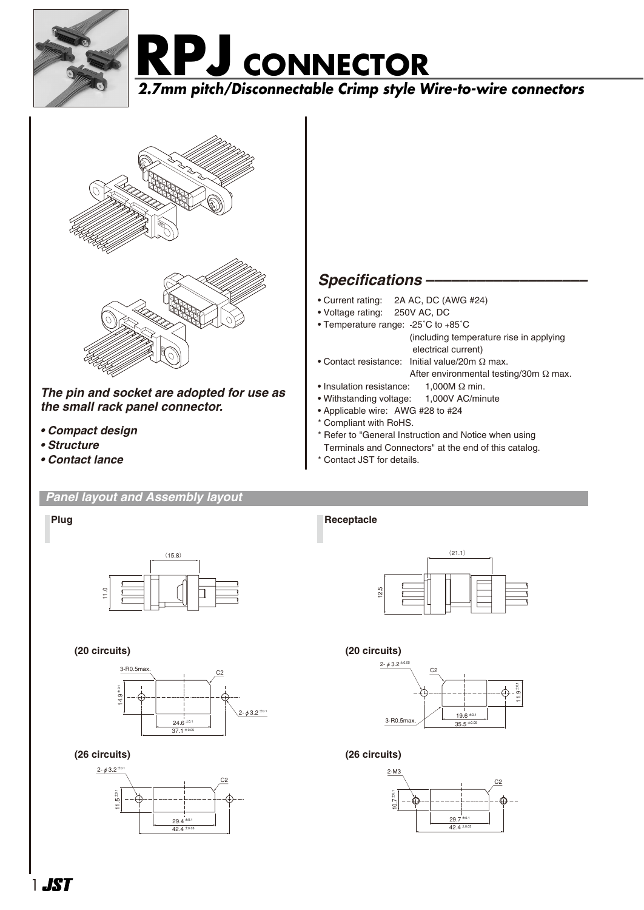





*The pin and socket are adopted for use as the small rack panel connector.*

- *Compact design*
- *Structure*
- *Contact lance*

#### *Panel layout and Assembly layout*

## *Specifications –––––––––––––––––––*

- Current rating: 2A AC, DC (AWG #24)
- Voltage rating: 250V AC, DC
- Temperature range: -25˚C to +85˚C
	- (including temperature rise in applying electrical current)
- Contact resistance: Initial value/20m Ω max. After environmental testing/30m Ω max.
- Insulation resistance: 1,000M Ω min.
- Withstanding voltage: 1,000V AC/minute
- Applicable wire: AWG #28 to #24
- \* Compliant with RoHS.
- \* Refer to "General Instruction and Notice when using
- Terminals and Connectors" at the end of this catalog.
- \* Contact JST for details.



#### **(20 circuits)**



#### **(26 circuits)**



**Plug Receptacle** 



#### **(20 circuits)**



### **(26 circuits)**